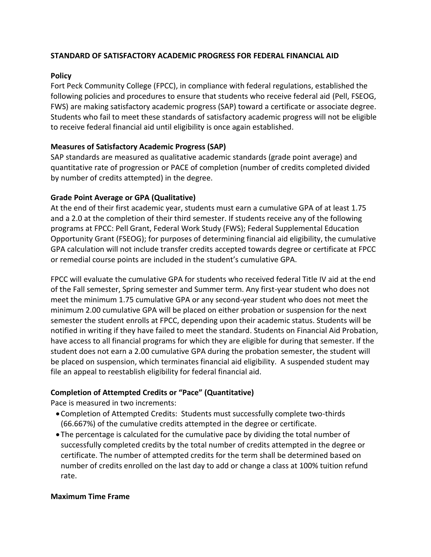## **STANDARD OF SATISFACTORY ACADEMIC PROGRESS FOR FEDERAL FINANCIAL AID**

### **Policy**

Fort Peck Community College (FPCC), in compliance with federal regulations, established the following policies and procedures to ensure that students who receive federal aid (Pell, FSEOG, FWS) are making satisfactory academic progress (SAP) toward a certificate or associate degree. Students who fail to meet these standards of satisfactory academic progress will not be eligible to receive federal financial aid until eligibility is once again established.

# **Measures of Satisfactory Academic Progress (SAP)**

SAP standards are measured as qualitative academic standards (grade point average) and quantitative rate of progression or PACE of completion (number of credits completed divided by number of credits attempted) in the degree.

### **Grade Point Average or GPA (Qualitative)**

At the end of their first academic year, students must earn a cumulative GPA of at least 1.75 and a 2.0 at the completion of their third semester. If students receive any of the following programs at FPCC: Pell Grant, Federal Work Study (FWS); Federal Supplemental Education Opportunity Grant (FSEOG); for purposes of determining financial aid eligibility, the cumulative GPA calculation will not include transfer credits accepted towards degree or certificate at FPCC or remedial course points are included in the student's cumulative GPA.

FPCC will evaluate the cumulative GPA for students who received federal Title IV aid at the end of the Fall semester, Spring semester and Summer term. Any first-year student who does not meet the minimum 1.75 cumulative GPA or any second-year student who does not meet the minimum 2.00 cumulative GPA will be placed on either probation or suspension for the next semester the student enrolls at FPCC, depending upon their academic status. Students will be notified in writing if they have failed to meet the standard. Students on Financial Aid Probation, have access to all financial programs for which they are eligible for during that semester. If the student does not earn a 2.00 cumulative GPA during the probation semester, the student will be placed on suspension, which terminates financial aid eligibility. A suspended student may file an appeal to reestablish eligibility for federal financial aid.

#### **Completion of Attempted Credits or "Pace" (Quantitative)**

Pace is measured in two increments:

- Completion of Attempted Credits: Students must successfully complete two-thirds (66.667%) of the cumulative credits attempted in the degree or certificate.
- The percentage is calculated for the cumulative pace by dividing the total number of successfully completed credits by the total number of credits attempted in the degree or certificate. The number of attempted credits for the term shall be determined based on number of credits enrolled on the last day to add or change a class at 100% tuition refund rate.

#### **Maximum Time Frame**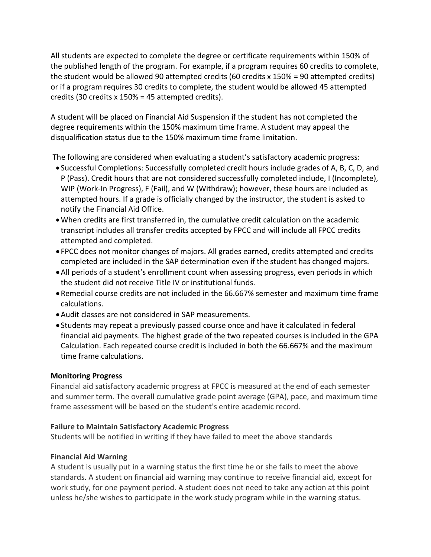All students are expected to complete the degree or certificate requirements within 150% of the published length of the program. For example, if a program requires 60 credits to complete, the student would be allowed 90 attempted credits (60 credits x 150% = 90 attempted credits) or if a program requires 30 credits to complete, the student would be allowed 45 attempted credits (30 credits x 150% = 45 attempted credits).

A student will be placed on Financial Aid Suspension if the student has not completed the degree requirements within the 150% maximum time frame. A student may appeal the disqualification status due to the 150% maximum time frame limitation.

The following are considered when evaluating a student's satisfactory academic progress:

- Successful Completions: Successfully completed credit hours include grades of A, B, C, D, and P (Pass). Credit hours that are not considered successfully completed include, I (Incomplete), WIP (Work-In Progress), F (Fail), and W (Withdraw); however, these hours are included as attempted hours. If a grade is officially changed by the instructor, the student is asked to notify the Financial Aid Office.
- When credits are first transferred in, the cumulative credit calculation on the academic transcript includes all transfer credits accepted by FPCC and will include all FPCC credits attempted and completed.
- FPCC does not monitor changes of majors. All grades earned, credits attempted and credits completed are included in the SAP determination even if the student has changed majors.
- All periods of a student's enrollment count when assessing progress, even periods in which the student did not receive Title IV or institutional funds.
- Remedial course credits are not included in the 66.667% semester and maximum time frame calculations.
- Audit classes are not considered in SAP measurements.
- Students may repeat a previously passed course once and have it calculated in federal financial aid payments. The highest grade of the two repeated courses is included in the GPA Calculation. Each repeated course credit is included in both the 66.667% and the maximum time frame calculations.

# **Monitoring Progress**

Financial aid satisfactory academic progress at FPCC is measured at the end of each semester and summer term. The overall cumulative grade point average (GPA), pace, and maximum time frame assessment will be based on the student's entire academic record.

#### **Failure to Maintain Satisfactory Academic Progress**

Students will be notified in writing if they have failed to meet the above standards

# **Financial Aid Warning**

A student is usually put in a warning status the first time he or she fails to meet the above standards. A student on financial aid warning may continue to receive financial aid, except for work study, for one payment period. A student does not need to take any action at this point unless he/she wishes to participate in the work study program while in the warning status.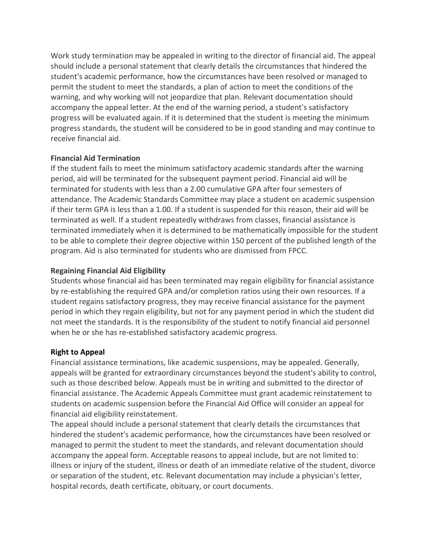Work study termination may be appealed in writing to the director of financial aid. The appeal should include a personal statement that clearly details the circumstances that hindered the student's academic performance, how the circumstances have been resolved or managed to permit the student to meet the standards, a plan of action to meet the conditions of the warning, and why working will not jeopardize that plan. Relevant documentation should accompany the appeal letter. At the end of the warning period, a student's satisfactory progress will be evaluated again. If it is determined that the student is meeting the minimum progress standards, the student will be considered to be in good standing and may continue to receive financial aid.

### **Financial Aid Termination**

If the student fails to meet the minimum satisfactory academic standards after the warning period, aid will be terminated for the subsequent payment period. Financial aid will be terminated for students with less than a 2.00 cumulative GPA after four semesters of attendance. The Academic Standards Committee may place a student on academic suspension if their term GPA is less than a 1.00. If a student is suspended for this reason, their aid will be terminated as well. If a student repeatedly withdraws from classes, financial assistance is terminated immediately when it is determined to be mathematically impossible for the student to be able to complete their degree objective within 150 percent of the published length of the program. Aid is also terminated for students who are dismissed from FPCC.

### **Regaining Financial Aid Eligibility**

Students whose financial aid has been terminated may regain eligibility for financial assistance by re-establishing the required GPA and/or completion ratios using their own resources. If a student regains satisfactory progress, they may receive financial assistance for the payment period in which they regain eligibility, but not for any payment period in which the student did not meet the standards. It is the responsibility of the student to notify financial aid personnel when he or she has re-established satisfactory academic progress.

# **Right to Appeal**

Financial assistance terminations, like academic suspensions, may be appealed. Generally, appeals will be granted for extraordinary circumstances beyond the student's ability to control, such as those described below. Appeals must be in writing and submitted to the director of financial assistance. The Academic Appeals Committee must grant academic reinstatement to students on academic suspension before the Financial Aid Office will consider an appeal for financial aid eligibility reinstatement.

The appeal should include a personal statement that clearly details the circumstances that hindered the student's academic performance, how the circumstances have been resolved or managed to permit the student to meet the standards, and relevant documentation should accompany the appeal form. Acceptable reasons to appeal include, but are not limited to: illness or injury of the student, illness or death of an immediate relative of the student, divorce or separation of the student, etc. Relevant documentation may include a physician's letter, hospital records, death certificate, obituary, or court documents.